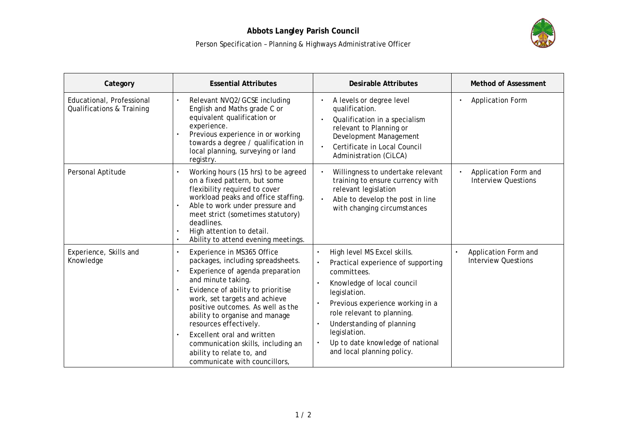

| Category                                               | <b>Essential Attributes</b>                                                                                                                                                                                                                                                                                                                                                                                                        | Desirable Attributes                                                                                                                                                                                                                                                                                            | Method of Assessment                                            |
|--------------------------------------------------------|------------------------------------------------------------------------------------------------------------------------------------------------------------------------------------------------------------------------------------------------------------------------------------------------------------------------------------------------------------------------------------------------------------------------------------|-----------------------------------------------------------------------------------------------------------------------------------------------------------------------------------------------------------------------------------------------------------------------------------------------------------------|-----------------------------------------------------------------|
| Educational, Professional<br>Qualifications & Training | Relevant NVQ2/GCSE including<br>English and Maths grade C or<br>equivalent qualification or<br>experience.<br>Previous experience in or working<br>towards a degree / qualification in<br>local planning, surveying or land<br>registry.                                                                                                                                                                                           | A levels or degree level<br>qualification.<br>Qualification in a specialism<br>relevant to Planning or<br>Development Management<br>Certificate in Local Council<br>$\bullet$<br>Administration (CiLCA)                                                                                                         | <b>Application Form</b>                                         |
| Personal Aptitude                                      | Working hours (15 hrs) to be agreed<br>on a fixed pattern, but some<br>flexibility required to cover<br>workload peaks and office staffing.<br>Able to work under pressure and<br>meet strict (sometimes statutory)<br>deadlines.<br>High attention to detail.<br>Ability to attend evening meetings.                                                                                                                              | Willingness to undertake relevant<br>training to ensure currency with<br>relevant legislation<br>Able to develop the post in line<br>with changing circumstances                                                                                                                                                | Application Form and<br><b>Interview Questions</b>              |
| Experience, Skills and<br>Knowledge                    | Experience in MS365 Office<br>packages, including spreadsheets.<br>Experience of agenda preparation<br>and minute taking.<br>Evidence of ability to prioritise<br>work, set targets and achieve<br>positive outcomes. As well as the<br>ability to organise and manage<br>resources effectively.<br>Excellent oral and written<br>communication skills, including an<br>ability to relate to, and<br>communicate with councillors, | High level MS Excel skills.<br>Practical experience of supporting<br>committees.<br>Knowledge of local council<br>legislation.<br>Previous experience working in a<br>role relevant to planning.<br>Understanding of planning<br>legislation.<br>Up to date knowledge of national<br>and local planning policy. | Application Form and<br>$\bullet$<br><b>Interview Questions</b> |